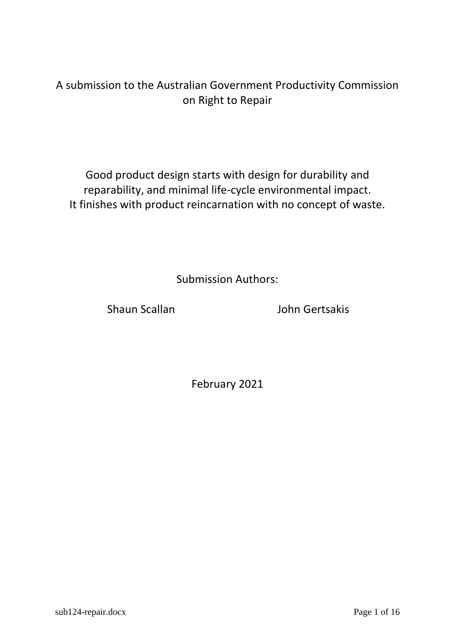## A submission to the Australian Government Productivity Commission on Right to Repair

Good product design starts with design for durability and reparability, and minimal life-cycle environmental impact. It finishes with product reincarnation with no concept of waste.

Submission Authors:

Shaun Scallan **John Gertsakis** 

February 2021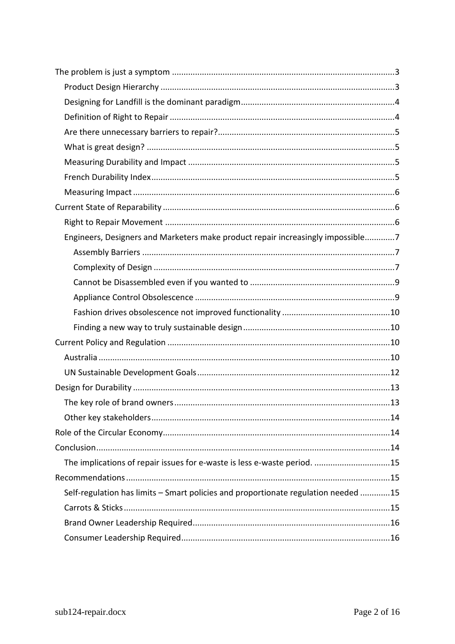| Engineers, Designers and Marketers make product repair increasingly impossible7    |  |
|------------------------------------------------------------------------------------|--|
|                                                                                    |  |
|                                                                                    |  |
|                                                                                    |  |
|                                                                                    |  |
|                                                                                    |  |
|                                                                                    |  |
|                                                                                    |  |
|                                                                                    |  |
|                                                                                    |  |
|                                                                                    |  |
|                                                                                    |  |
|                                                                                    |  |
|                                                                                    |  |
|                                                                                    |  |
| The implications of repair issues for e-waste is less e-waste period. 15           |  |
|                                                                                    |  |
| Self-regulation has limits - Smart policies and proportionate regulation needed 15 |  |
|                                                                                    |  |
|                                                                                    |  |
|                                                                                    |  |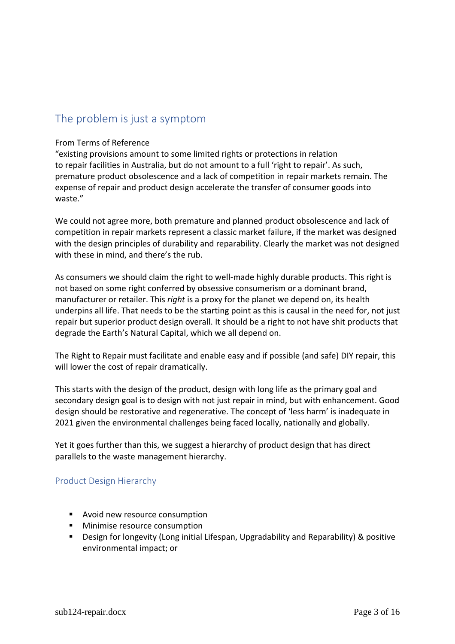## <span id="page-2-0"></span>The problem is just a symptom

#### From Terms of Reference

"existing provisions amount to some limited rights or protections in relation to repair facilities in Australia, but do not amount to a full 'right to repair'. As such, premature product obsolescence and a lack of competition in repair markets remain. The expense of repair and product design accelerate the transfer of consumer goods into waste."

We could not agree more, both premature and planned product obsolescence and lack of competition in repair markets represent a classic market failure, if the market was designed with the design principles of durability and reparability. Clearly the market was not designed with these in mind, and there's the rub.

As consumers we should claim the right to well-made highly durable products. This right is not based on some right conferred by obsessive consumerism or a dominant brand, manufacturer or retailer. This *right* is a proxy for the planet we depend on, its health underpins all life. That needs to be the starting point as this is causal in the need for, not just repair but superior product design overall. It should be a right to not have shit products that degrade the Earth's Natural Capital, which we all depend on.

The Right to Repair must facilitate and enable easy and if possible (and safe) DIY repair, this will lower the cost of repair dramatically.

This starts with the design of the product, design with long life as the primary goal and secondary design goal is to design with not just repair in mind, but with enhancement. Good design should be restorative and regenerative. The concept of 'less harm' is inadequate in 2021 given the environmental challenges being faced locally, nationally and globally.

Yet it goes further than this, we suggest a hierarchy of product design that has direct parallels to the waste management hierarchy.

#### <span id="page-2-1"></span>Product Design Hierarchy

- Avoid new resource consumption
- Minimise resource consumption
- Design for longevity (Long initial Lifespan, Upgradability and Reparability) & positive environmental impact; or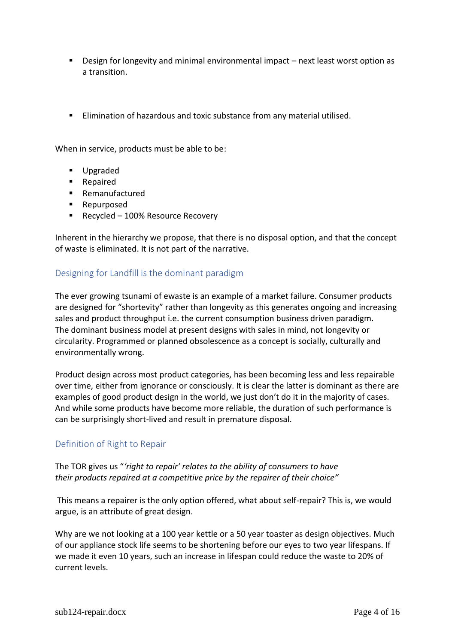- Design for longevity and minimal environmental impact next least worst option as a transition.
- Elimination of hazardous and toxic substance from any material utilised.

When in service, products must be able to be:

- Upgraded
- Repaired
- Remanufactured
- Repurposed
- Recycled 100% Resource Recovery

Inherent in the hierarchy we propose, that there is no disposal option, and that the concept of waste is eliminated. It is not part of the narrative.

#### <span id="page-3-0"></span>Designing for Landfill is the dominant paradigm

The ever growing tsunami of ewaste is an example of a market failure. Consumer products are designed for "shortevity" rather than longevity as this generates ongoing and increasing sales and product throughput i.e. the current consumption business driven paradigm. The dominant business model at present designs with sales in mind, not longevity or circularity. Programmed or planned obsolescence as a concept is socially, culturally and environmentally wrong.

Product design across most product categories, has been becoming less and less repairable over time, either from ignorance or consciously. It is clear the latter is dominant as there are examples of good product design in the world, we just don't do it in the majority of cases. And while some products have become more reliable, the duration of such performance is can be surprisingly short-lived and result in premature disposal.

#### <span id="page-3-1"></span>Definition of Right to Repair

The TOR gives us "*'right to repair' relates to the ability of consumers to have their products repaired at a competitive price by the repairer of their choice"*

This means a repairer is the only option offered, what about self-repair? This is, we would argue, is an attribute of great design.

Why are we not looking at a 100 year kettle or a 50 year toaster as design objectives. Much of our appliance stock life seems to be shortening before our eyes to two year lifespans. If we made it even 10 years, such an increase in lifespan could reduce the waste to 20% of current levels.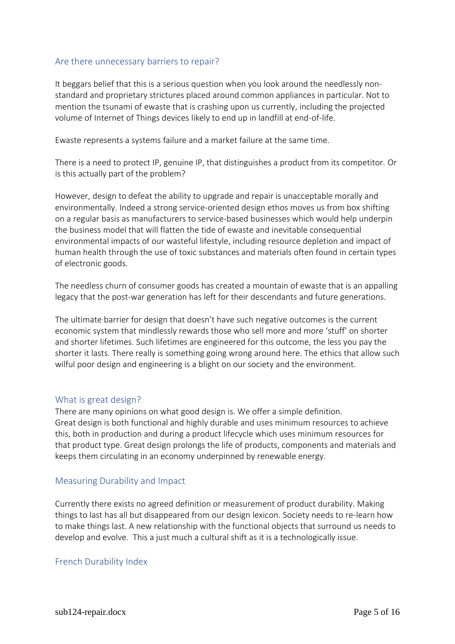#### <span id="page-4-0"></span>Are there unnecessary barriers to repair?

It beggars belief that this is a serious question when you look around the needlessly nonstandard and proprietary strictures placed around common appliances in particular. Not to mention the tsunami of ewaste that is crashing upon us currently, including the projected volume of Internet of Things devices likely to end up in landfill at end-of-life.

Ewaste represents a systems failure and a market failure at the same time.

There is a need to protect IP, genuine IP, that distinguishes a product from its competitor. Or is this actually part of the problem?

However, design to defeat the ability to upgrade and repair is unacceptable morally and environmentally. Indeed a strong service-oriented design ethos moves us from box shifting on a regular basis as manufacturers to service-based businesses which would help underpin the business model that will flatten the tide of ewaste and inevitable consequential environmental impacts of our wasteful lifestyle, including resource depletion and impact of human health through the use of toxic substances and materials often found in certain types of electronic goods.

The needless churn of consumer goods has created a mountain of ewaste that is an appalling legacy that the post-war generation has left for their descendants and future generations.

The ultimate barrier for design that doesn't have such negative outcomes is the current economic system that mindlessly rewards those who sell more and more 'stuff' on shorter and shorter lifetimes. Such lifetimes are engineered for this outcome, the less you pay the shorter it lasts. There really is something going wrong around here. The ethics that allow such wilful poor design and engineering is a blight on our society and the environment.

#### <span id="page-4-1"></span>What is great design?

There are many opinions on what good design is. We offer a simple definition. Great design is both functional and highly durable and uses minimum resources to achieve this, both in production and during a product lifecycle which uses minimum resources for that product type. Great design prolongs the life of products, components and materials and keeps them circulating in an economy underpinned by renewable energy.

#### <span id="page-4-2"></span>Measuring Durability and Impact

Currently there exists no agreed definition or measurement of product durability. Making things to last has all but disappeared from our design lexicon. Society needs to re-learn how to make things last. A new relationship with the functional objects that surround us needs to develop and evolve. This a just much a cultural shift as it is a technologically issue.

#### <span id="page-4-3"></span>French Durability Index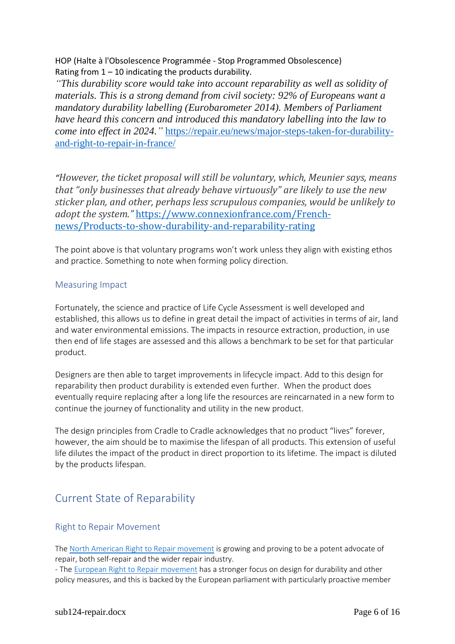HOP (Halte à l'Obsolescence Programmée - Stop Programmed Obsolescence) Rating from  $1 - 10$  indicating the products durability.

*"This durability score would take into account reparability as well as solidity of materials. This is a strong demand from civil society: 92% of Europeans want a mandatory durability labelling (Eurobarometer 2014). Members of Parliament have heard this concern and introduced this mandatory labelling into the law to come into effect in 2024.* " [https://repair.eu/news/major-steps-taken-for-durability](https://repair.eu/news/major-steps-taken-for-durability-and-right-to-repair-in-france/)[and-right-to-repair-in-france/](https://repair.eu/news/major-steps-taken-for-durability-and-right-to-repair-in-france/)

*"However, the ticket proposal will still be voluntary, which, Meunier says, means that "only businesses that already behave virtuously" are likely to use the new sticker plan, and other, perhaps less scrupulous companies, would be unlikely to adopt the system."* [https://www.connexionfrance.com/French](https://www.connexionfrance.com/French-news/Products-to-show-durability-and-repairability-rating)[news/Products-to-show-durability-and-reparability-rating](https://www.connexionfrance.com/French-news/Products-to-show-durability-and-repairability-rating)

The point above is that voluntary programs won't work unless they align with existing ethos and practice. Something to note when forming policy direction.

#### <span id="page-5-0"></span>Measuring Impact

Fortunately, the science and practice of Life Cycle Assessment is well developed and established, this allows us to define in great detail the impact of activities in terms of air, land and water environmental emissions. The impacts in resource extraction, production, in use then end of life stages are assessed and this allows a benchmark to be set for that particular product.

Designers are then able to target improvements in lifecycle impact. Add to this design for reparability then product durability is extended even further. When the product does eventually require replacing after a long life the resources are reincarnated in a new form to continue the journey of functionality and utility in the new product.

The design principles from Cradle to Cradle acknowledges that no product "lives" forever, however, the aim should be to maximise the lifespan of all products. This extension of useful life dilutes the impact of the product in direct proportion to its lifetime. The impact is diluted by the products lifespan.

## <span id="page-5-1"></span>Current State of Reparability

### <span id="page-5-2"></span>Right to Repair Movement

The [North American Right to Repair movement](https://www.repair.org/) is growing and proving to be a potent advocate of repair, both self-repair and the wider repair industry.

- The [European Right to Repair movement](https://repair.eu/) has a stronger focus on design for durability and other policy measures, and this is backed by the European parliament with particularly proactive member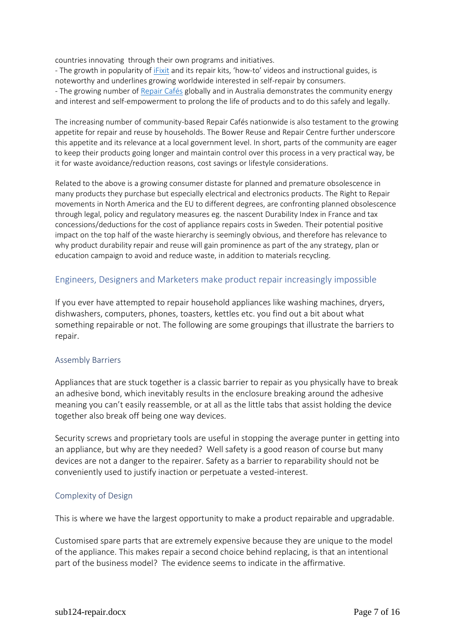countries innovating through their own programs and initiatives.

- The growth in popularity of *iFixit* and its repair kits, 'how-to' videos and instructional guides, is noteworthy and underlines growing worldwide interested in self-repair by consumers. - The growing number of [Repair Cafés](https://www.repaircafe.org/en/) globally and in Australia demonstrates the community energy and interest and self-empowerment to prolong the life of products and to do this safely and legally.

The increasing number of community-based Repair Cafés nationwide is also testament to the growing appetite for repair and reuse by households. The Bower Reuse and Repair Centre further underscore this appetite and its relevance at a local government level. In short, parts of the community are eager to keep their products going longer and maintain control over this process in a very practical way, be it for waste avoidance/reduction reasons, cost savings or lifestyle considerations.

Related to the above is a growing consumer distaste for planned and premature obsolescence in many products they purchase but especially electrical and electronics products. The Right to Repair movements in North America and the EU to different degrees, are confronting planned obsolescence through legal, policy and regulatory measures eg. the nascent Durability Index in France and tax concessions/deductions for the cost of appliance repairs costs in Sweden. Their potential positive impact on the top half of the waste hierarchy is seemingly obvious, and therefore has relevance to why product durability repair and reuse will gain prominence as part of the any strategy, plan or education campaign to avoid and reduce waste, in addition to materials recycling.

#### <span id="page-6-0"></span>Engineers, Designers and Marketers make product repair increasingly impossible

If you ever have attempted to repair household appliances like washing machines, dryers, dishwashers, computers, phones, toasters, kettles etc. you find out a bit about what something repairable or not. The following are some groupings that illustrate the barriers to repair.

#### <span id="page-6-1"></span>Assembly Barriers

Appliances that are stuck together is a classic barrier to repair as you physically have to break an adhesive bond, which inevitably results in the enclosure breaking around the adhesive meaning you can't easily reassemble, or at all as the little tabs that assist holding the device together also break off being one way devices.

Security screws and proprietary tools are useful in stopping the average punter in getting into an appliance, but why are they needed? Well safety is a good reason of course but many devices are not a danger to the repairer. Safety as a barrier to reparability should not be conveniently used to justify inaction or perpetuate a vested-interest.

#### <span id="page-6-2"></span>Complexity of Design

This is where we have the largest opportunity to make a product repairable and upgradable.

Customised spare parts that are extremely expensive because they are unique to the model of the appliance. This makes repair a second choice behind replacing, is that an intentional part of the business model? The evidence seems to indicate in the affirmative.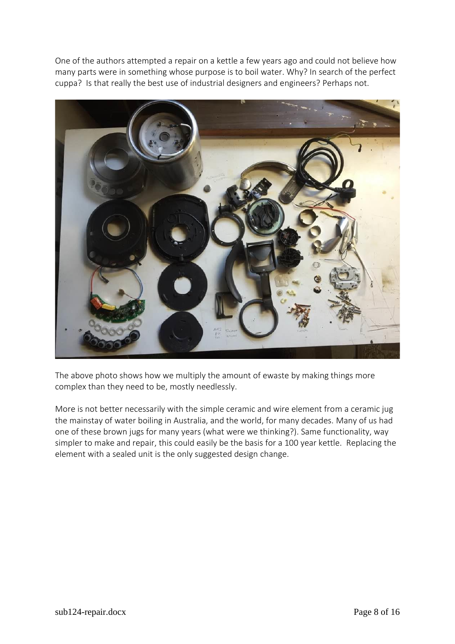One of the authors attempted a repair on a kettle a few years ago and could not believe how many parts were in something whose purpose is to boil water. Why? In search of the perfect cuppa? Is that really the best use of industrial designers and engineers? Perhaps not.



The above photo shows how we multiply the amount of ewaste by making things more complex than they need to be, mostly needlessly.

More is not better necessarily with the simple ceramic and wire element from a ceramic jug the mainstay of water boiling in Australia, and the world, for many decades. Many of us had one of these brown jugs for many years (what were we thinking?). Same functionality, way simpler to make and repair, this could easily be the basis for a 100 year kettle. Replacing the element with a sealed unit is the only suggested design change.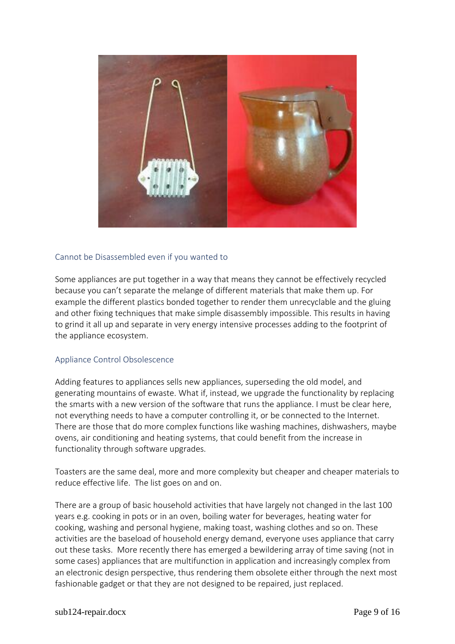

#### <span id="page-8-0"></span>Cannot be Disassembled even if you wanted to

Some appliances are put together in a way that means they cannot be effectively recycled because you can't separate the melange of different materials that make them up. For example the different plastics bonded together to render them unrecyclable and the gluing and other fixing techniques that make simple disassembly impossible. This results in having to grind it all up and separate in very energy intensive processes adding to the footprint of the appliance ecosystem.

#### <span id="page-8-1"></span>Appliance Control Obsolescence

Adding features to appliances sells new appliances, superseding the old model, and generating mountains of ewaste. What if, instead, we upgrade the functionality by replacing the smarts with a new version of the software that runs the appliance. I must be clear here, not everything needs to have a computer controlling it, or be connected to the Internet. There are those that do more complex functions like washing machines, dishwashers, maybe ovens, air conditioning and heating systems, that could benefit from the increase in functionality through software upgrades.

Toasters are the same deal, more and more complexity but cheaper and cheaper materials to reduce effective life. The list goes on and on.

There are a group of basic household activities that have largely not changed in the last 100 years e.g. cooking in pots or in an oven, boiling water for beverages, heating water for cooking, washing and personal hygiene, making toast, washing clothes and so on. These activities are the baseload of household energy demand, everyone uses appliance that carry out these tasks. More recently there has emerged a bewildering array of time saving (not in some cases) appliances that are multifunction in application and increasingly complex from an electronic design perspective, thus rendering them obsolete either through the next most fashionable gadget or that they are not designed to be repaired, just replaced.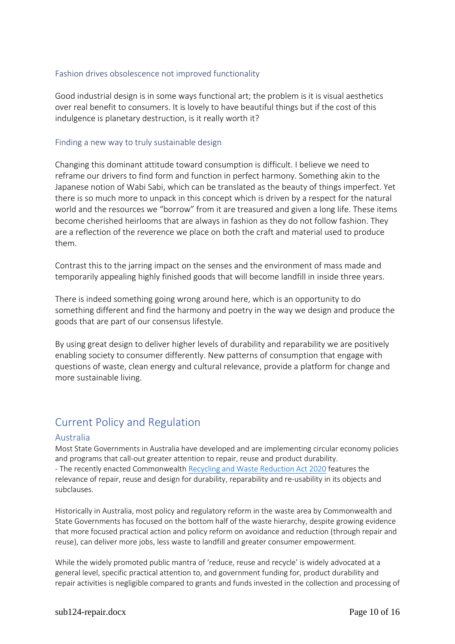#### <span id="page-9-0"></span>Fashion drives obsolescence not improved functionality

Good industrial design is in some ways functional art; the problem is it is visual aesthetics over real benefit to consumers. It is lovely to have beautiful things but if the cost of this indulgence is planetary destruction, is it really worth it?

#### <span id="page-9-1"></span>Finding a new way to truly sustainable design

Changing this dominant attitude toward consumption is difficult. I believe we need to reframe our drivers to find form and function in perfect harmony. Something akin to the Japanese notion of Wabi Sabi, which can be translated as the beauty of things imperfect. Yet there is so much more to unpack in this concept which is driven by a respect for the natural world and the resources we "borrow" from it are treasured and given a long life. These items become cherished heirlooms that are always in fashion as they do not follow fashion. They are a reflection of the reverence we place on both the craft and material used to produce them.

Contrast this to the jarring impact on the senses and the environment of mass made and temporarily appealing highly finished goods that will become landfill in inside three years.

There is indeed something going wrong around here, which is an opportunity to do something different and find the harmony and poetry in the way we design and produce the goods that are part of our consensus lifestyle.

By using great design to deliver higher levels of durability and reparability we are positively enabling society to consumer differently. New patterns of consumption that engage with questions of waste, clean energy and cultural relevance, provide a platform for change and more sustainable living.

## <span id="page-9-2"></span>Current Policy and Regulation

#### <span id="page-9-3"></span>Australia

Most State Governments in Australia have developed and are implementing circular economy policies and programs that call-out greater attention to repair, reuse and product durability. - The recently enacted Commonwealt[h Recycling and Waste Reduction Act 2020](https://www.legislation.gov.au/Details/C2020B00104/Explanatory%20Memorandum/Text) features the relevance of repair, reuse and design for durability, reparability and re-usability in its objects and subclauses.

Historically in Australia, most policy and regulatory reform in the waste area by Commonwealth and State Governments has focused on the bottom half of the waste hierarchy, despite growing evidence that more focused practical action and policy reform on avoidance and reduction (through repair and reuse), can deliver more jobs, less waste to landfill and greater consumer empowerment.

While the widely promoted public mantra of 'reduce, reuse and recycle' is widely advocated at a general level, specific practical attention to, and government funding for, product durability and repair activities is negligible compared to grants and funds invested in the collection and processing of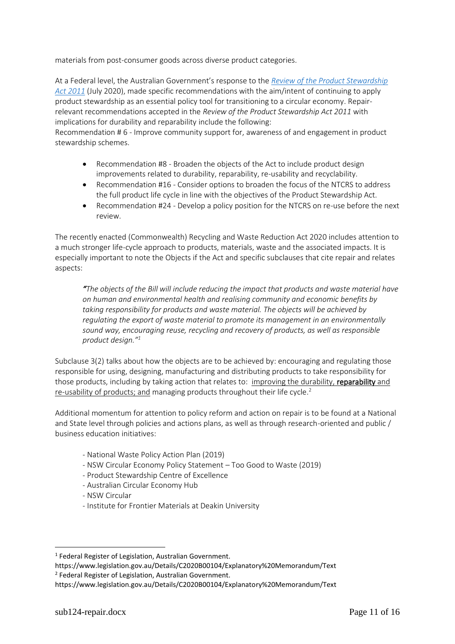materials from post-consumer goods across diverse product categories.

At a Federal level, the Australian Government's response to the *[Review of the Product Stewardship](https://www.environment.gov.au/protection/waste/product-stewardship/consultation-review-ps-act-incl-ntcrs)  [Act 2011](https://www.environment.gov.au/protection/waste/product-stewardship/consultation-review-ps-act-incl-ntcrs)* (July 2020), made specific recommendations with the aim/intent of continuing to apply product stewardship as an essential policy tool for transitioning to a circular economy. Repairrelevant recommendations accepted in the *Review of the Product Stewardship Act 2011* with implications for durability and reparability include the following:

Recommendation # 6 - Improve community support for, awareness of and engagement in product stewardship schemes.

- Recommendation #8 Broaden the objects of the Act to include product design improvements related to durability, reparability, re-usability and recyclability.
- Recommendation #16 Consider options to broaden the focus of the NTCRS to address the full product life cycle in line with the objectives of the Product Stewardship Act.
- Recommendation #24 Develop a policy position for the NTCRS on re-use before the next review.

The recently enacted (Commonwealth) Recycling and Waste Reduction Act 2020 includes attention to a much stronger life-cycle approach to products, materials, waste and the associated impacts. It is especially important to note the Objects if the Act and specific subclauses that cite repair and relates aspects:

*"The objects of the Bill will include reducing the impact that products and waste material have on human and environmental health and realising community and economic benefits by taking responsibility for products and waste material. The objects will be achieved by regulating the export of waste material to promote its management in an environmentally sound way, encouraging reuse, recycling and recovery of products, as well as responsible product design." 1*

Subclause 3(2) talks about how the objects are to be achieved by: encouraging and regulating those responsible for using, designing, manufacturing and distributing products to take responsibility for those products, including by taking action that relates to: improving the durability, reparability and re-usability of products; and managing products throughout their life cycle.<sup>2</sup>

Additional momentum for attention to policy reform and action on repair is to be found at a National and State level through policies and actions plans, as well as through research-oriented and public / business education initiatives:

- National Waste Policy Action Plan (2019)
- NSW Circular Economy Policy Statement Too Good to Waste (2019)
- Product Stewardship Centre of Excellence
- Australian Circular Economy Hub
- NSW Circular
- Institute for Frontier Materials at Deakin University

<sup>&</sup>lt;sup>1</sup> Federal Register of Legislation, Australian Government.

https://www.legislation.gov.au/Details/C2020B00104/Explanatory%20Memorandum/Text <sup>2</sup> Federal Register of Legislation, Australian Government.

https://www.legislation.gov.au/Details/C2020B00104/Explanatory%20Memorandum/Text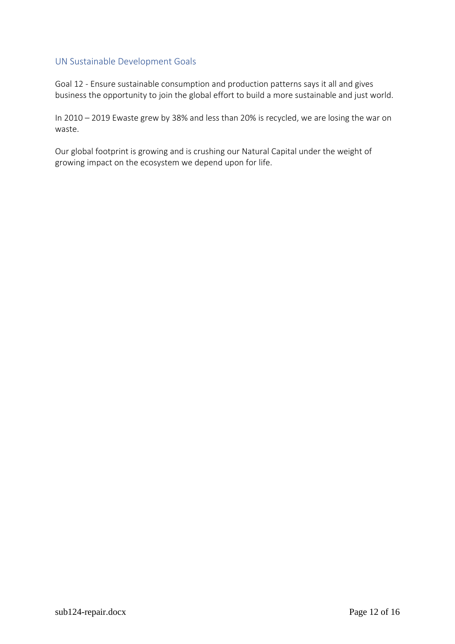#### <span id="page-11-0"></span>UN Sustainable Development Goals

Goal 12 - Ensure sustainable consumption and production patterns says it all and gives business the opportunity to join the global effort to build a more sustainable and just world.

In 2010 – 2019 Ewaste grew by 38% and less than 20% is recycled, we are losing the war on waste.

Our global footprint is growing and is crushing our Natural Capital under the weight of growing impact on the ecosystem we depend upon for life.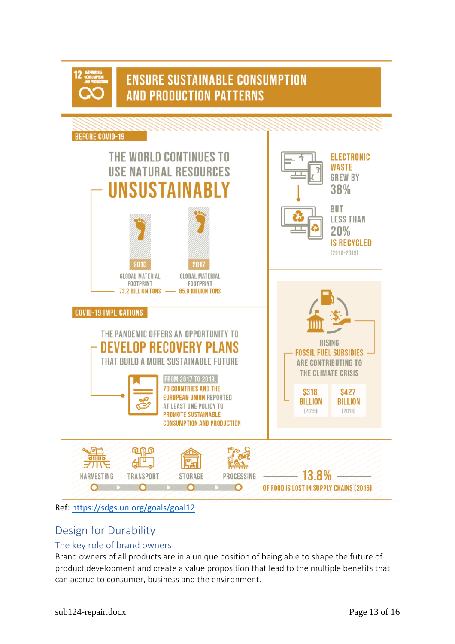

# **ENSURE SUSTAINABLE CONSUMPTION AND PRODUCTION PATTERNS**



Ref:<https://sdgs.un.org/goals/goal12>

## <span id="page-12-0"></span>Design for Durability

### <span id="page-12-1"></span>The key role of brand owners

Brand owners of all products are in a unique position of being able to shape the future of product development and create a value proposition that lead to the multiple benefits that can accrue to consumer, business and the environment.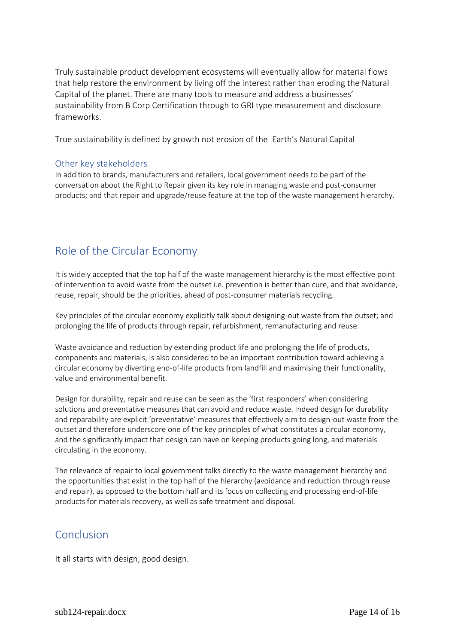Truly sustainable product development ecosystems will eventually allow for material flows that help restore the environment by living off the interest rather than eroding the Natural Capital of the planet. There are many tools to measure and address a businesses' sustainability from B Corp Certification through to GRI type measurement and disclosure frameworks.

True sustainability is defined by growth not erosion of the Earth's Natural Capital

#### <span id="page-13-0"></span>Other key stakeholders

In addition to brands, manufacturers and retailers, local government needs to be part of the conversation about the Right to Repair given its key role in managing waste and post-consumer products; and that repair and upgrade/reuse feature at the top of the waste management hierarchy.

## <span id="page-13-1"></span>Role of the Circular Economy

It is widely accepted that the top half of the waste management hierarchy is the most effective point of intervention to avoid waste from the outset i.e. prevention is better than cure, and that avoidance, reuse, repair, should be the priorities, ahead of post-consumer materials recycling.

Key principles of the circular economy explicitly talk about designing-out waste from the outset; and prolonging the life of products through repair, refurbishment, remanufacturing and reuse.

Waste avoidance and reduction by extending product life and prolonging the life of products, components and materials, is also considered to be an important contribution toward achieving a circular economy by diverting end-of-life products from landfill and maximising their functionality, value and environmental benefit.

Design for durability, repair and reuse can be seen as the 'first responders' when considering solutions and preventative measures that can avoid and reduce waste. Indeed design for durability and reparability are explicit 'preventative' measures that effectively aim to design-out waste from the outset and therefore underscore one of the key principles of what constitutes a circular economy, and the significantly impact that design can have on keeping products going long, and materials circulating in the economy.

The relevance of repair to local government talks directly to the waste management hierarchy and the opportunities that exist in the top half of the hierarchy (avoidance and reduction through reuse and repair), as opposed to the bottom half and its focus on collecting and processing end-of-life products for materials recovery, as well as safe treatment and disposal.

### <span id="page-13-2"></span>Conclusion

It all starts with design, good design.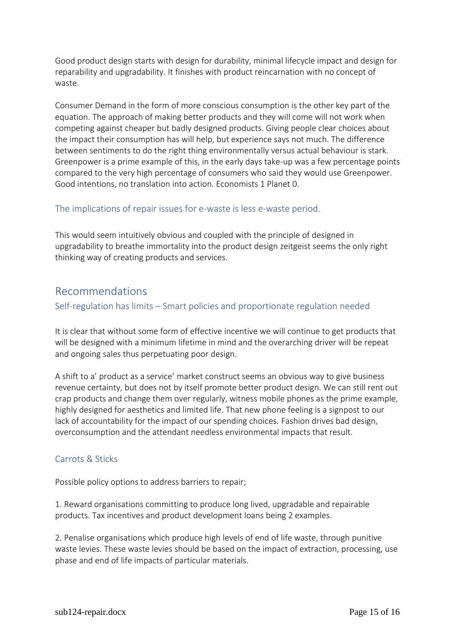Good product design starts with design for durability, minimal lifecycle impact and design for reparability and upgradability. It finishes with product reincarnation with no concept of waste.

Consumer Demand in the form of more conscious consumption is the other key part of the equation. The approach of making better products and they will come will not work when competing against cheaper but badly designed products. Giving people clear choices about the impact their consumption has will help, but experience says not much. The difference between sentiments to do the right thing environmentally versus actual behaviour is stark. Greenpower is a prime example of this, in the early days take-up was a few percentage points compared to the very high percentage of consumers who said they would use Greenpower. Good intentions, no translation into action. Economists 1 Planet 0.

#### <span id="page-14-0"></span>The implications of repair issues for e-waste is less e-waste period.

This would seem intuitively obvious and coupled with the principle of designed in upgradability to breathe immortality into the product design zeitgeist seems the only right thinking way of creating products and services.

### <span id="page-14-1"></span>Recommendations

#### <span id="page-14-2"></span>Self-regulation has limits – Smart policies and proportionate regulation needed

It is clear that without some form of effective incentive we will continue to get products that will be designed with a minimum lifetime in mind and the overarching driver will be repeat and ongoing sales thus perpetuating poor design.

A shift to a' product as a service' market construct seems an obvious way to give business revenue certainty, but does not by itself promote better product design. We can still rent out crap products and change them over regularly, witness mobile phones as the prime example, highly designed for aesthetics and limited life. That new phone feeling is a signpost to our lack of accountability for the impact of our spending choices. Fashion drives bad design, overconsumption and the attendant needless environmental impacts that result.

#### <span id="page-14-3"></span>Carrots & Sticks

Possible policy options to address barriers to repair;

1. Reward organisations committing to produce long lived, upgradable and repairable products. Tax incentives and product development loans being 2 examples.

2. Penalise organisations which produce high levels of end of life waste, through punitive waste levies. These waste levies should be based on the impact of extraction, processing, use phase and end of life impacts of particular materials.